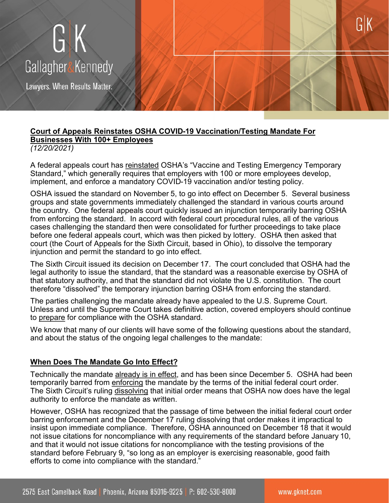

### **Court of Appeals Reinstates OSHA COVID-19 Vaccination/Testing Mandate For Businesses With 100+ Employees** *(12/20/2021)*

A federal appeals court has reinstated OSHA's "Vaccine and Testing Emergency Temporary Standard," which generally requires that employers with 100 or more employees develop, implement, and enforce a mandatory COVID-19 vaccination and/or testing policy.

OSHA issued the standard on November 5, to go into effect on December 5. Several business groups and state governments immediately challenged the standard in various courts around the country. One federal appeals court quickly issued an injunction temporarily barring OSHA from enforcing the standard. In accord with federal court procedural rules, all of the various cases challenging the standard then were consolidated for further proceedings to take place before one federal appeals court, which was then picked by lottery. OSHA then asked that court (the Court of Appeals for the Sixth Circuit, based in Ohio), to dissolve the temporary injunction and permit the standard to go into effect.

The Sixth Circuit issued its decision on December 17. The court concluded that OSHA had the legal authority to issue the standard, that the standard was a reasonable exercise by OSHA of that statutory authority, and that the standard did not violate the U.S. constitution. The court therefore "dissolved" the temporary injunction barring OSHA from enforcing the standard.

The parties challenging the mandate already have appealed to the U.S. Supreme Court. Unless and until the Supreme Court takes definitive action, covered employers should continue to prepare for compliance with the OSHA standard.

We know that many of our clients will have some of the following questions about the standard, and about the status of the ongoing legal challenges to the mandate:

### **When Does The Mandate Go Into Effect?**

Technically the mandate already is in effect, and has been since December 5. OSHA had been temporarily barred from enforcing the mandate by the terms of the initial federal court order. The Sixth Circuit's ruling dissolving that initial order means that OSHA now does have the legal authority to enforce the mandate as written.

However, OSHA has recognized that the passage of time between the initial federal court order barring enforcement and the December 17 ruling dissolving that order makes it impractical to insist upon immediate compliance. Therefore, OSHA announced on December 18 that it would not issue citations for noncompliance with any requirements of the standard before January 10, and that it would not issue citations for noncompliance with the testing provisions of the standard before February 9, "so long as an employer is exercising reasonable, good faith efforts to come into compliance with the standard."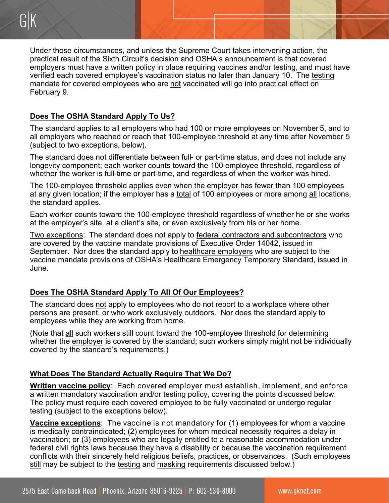Under those circumstances, and unless the Supreme Court takes intervening action, the practical result of the Sixth Circuit's decision and OSHA's announcement is that covered employers must have a written policy in place requiring vaccines and/or testing, and must have verified each covered employee's vaccination status no later than January 10. The testing mandate for covered employees who are not vaccinated will go into practical effect on February 9.

# **Does The OSHA Standard Apply To Us?**

The standard applies to all employers who had 100 or more employees on November 5, and to all employers who reached or reach that 100-employee threshold at any time after November 5 (subject to two exceptions, below).

The standard does not differentiate between full- or part-time status, and does not include any longevity component; each worker counts toward the 100-employee threshold, regardless of whether the worker is full-time or part-time, and regardless of when the worker was hired.

The 100-employee threshold applies even when the employer has fewer than 100 employees at any given location; if the employer has a total of 100 employees or more among all locations, the standard applies.

Each worker counts toward the 100-employee threshold regardless of whether he or she works at the employer's site, at a client's site, or even exclusively from his or her home.

Two exceptions: The standard does not apply to federal contractors and subcontractors who are covered by the vaccine mandate provisions of Executive Order 14042, issued in September. Nor does the standard apply to healthcare employers who are subject to the vaccine mandate provisions of OSHA's Healthcare Emergency Temporary Standard, issued in June.

# **Does The OSHA Standard Apply To All Of Our Employees?**

The standard does not apply to employees who do not report to a workplace where other persons are present, or who work exclusively outdoors. Nor does the standard apply to employees while they are working from home.

(Note that all such workers still count toward the 100-employee threshold for determining whether the employer is covered by the standard; such workers simply might not be individually covered by the standard's requirements.)

# **What Does The Standard Actually Require That We Do?**

**Written vaccine policy**: Each covered employer must establish, implement, and enforce a written mandatory vaccination and/or testing policy, covering the points discussed below. The policy must require each covered employee to be fully vaccinated or undergo regular testing (subject to the exceptions below).

**Vaccine exceptions**: The vaccine is not mandatory for (1) employees for whom a vaccine is medically contraindicated; (2) employees for whom medical necessity requires a delay in vaccination; or (3) employees who are legally entitled to a reasonable accommodation under federal civil rights laws because they have a disability or because the vaccination requirement conflicts with their sincerely held religious beliefs, practices, or observances. (Such employees still may be subject to the testing and masking requirements discussed below.)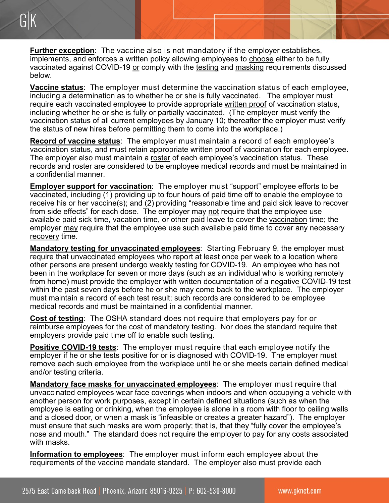**Further exception**: The vaccine also is not mandatory if the employer establishes, implements, and enforces a written policy allowing employees to choose either to be fully vaccinated against COVID-19 or comply with the testing and masking requirements discussed below.

**Vaccine status**: The employer must determine the vaccination status of each employee, including a determination as to whether he or she is fully vaccinated. The employer must require each vaccinated employee to provide appropriate written proof of vaccination status, including whether he or she is fully or partially vaccinated. (The employer must verify the vaccination status of all current employees by January 10; thereafter the employer must verify the status of new hires before permitting them to come into the workplace.)

**Record of vaccine status**: The employer must maintain a record of each employee's vaccination status, and must retain appropriate written proof of vaccination for each employee. The employer also must maintain a roster of each employee's vaccination status. These records and roster are considered to be employee medical records and must be maintained in a confidential manner.

**Employer support for vaccination**: The employer must "support" employee efforts to be vaccinated, including (1) providing up to four hours of paid time off to enable the employee to receive his or her vaccine(s); and (2) providing "reasonable time and paid sick leave to recover from side effects" for each dose. The employer may not require that the employee use available paid sick time, vacation time, or other paid leave to cover the vaccination time; the employer may require that the employee use such available paid time to cover any necessary recovery time.

**Mandatory testing for unvaccinated employees**: Starting February 9, the employer must require that unvaccinated employees who report at least once per week to a location where other persons are present undergo weekly testing for COVID-19. An employee who has not been in the workplace for seven or more days (such as an individual who is working remotely from home) must provide the employer with written documentation of a negative COVID-19 test within the past seven days before he or she may come back to the workplace. The employer must maintain a record of each test result; such records are considered to be employee medical records and must be maintained in a confidential manner.

**Cost of testing**: The OSHA standard does not require that employers pay for or reimburse employees for the cost of mandatory testing. Nor does the standard require that employers provide paid time off to enable such testing.

**Positive COVID-19 tests**: The employer must require that each employee notify the employer if he or she tests positive for or is diagnosed with COVID-19. The employer must remove each such employee from the workplace until he or she meets certain defined medical and/or testing criteria.

**Mandatory face masks for unvaccinated employees**: The employer must require that unvaccinated employees wear face coverings when indoors and when occupying a vehicle with another person for work purposes, except in certain defined situations (such as when the employee is eating or drinking, when the employee is alone in a room with floor to ceiling walls and a closed door, or when a mask is "infeasible or creates a greater hazard"). The employer must ensure that such masks are worn properly; that is, that they "fully cover the employee's nose and mouth." The standard does not require the employer to pay for any costs associated with masks.

**Information to employees**: The employer must inform each employee about the requirements of the vaccine mandate standard. The employer also must provide each